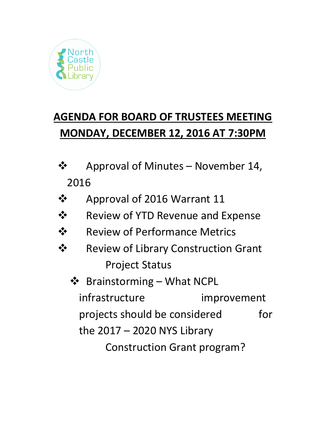

# **AGENDA FOR BOARD OF TRUSTEES MEETING MONDAY, DECEMBER 12, 2016 AT 7:30PM**

- ❖ Approval of Minutes November 14, 2016
- ❖ Approval of 2016 Warrant 11
- ❖ Review of YTD Revenue and Expense
- ❖ Review of Performance Metrics
- ❖ Review of Library Construction Grant Project Status
	- ❖ Brainstorming What NCPL infrastructure improvement projects should be considered for the 2017 – 2020 NYS Library Construction Grant program?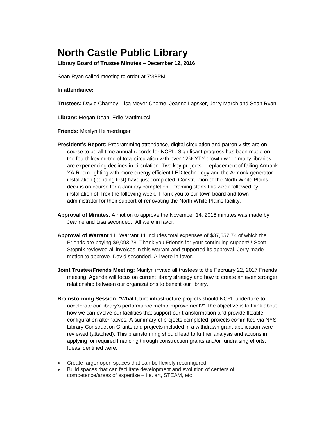# **North Castle Public Library**

**Library Board of Trustee Minutes – December 12, 2016** 

Sean Ryan called meeting to order at 7:38PM

#### **In attendance:**

**Trustees:** David Charney, Lisa Meyer Chorne, Jeanne Lapsker, Jerry March and Sean Ryan.

**Library:** Megan Dean, Edie Martimucci

**Friends:** Marilyn Heimerdinger

- **President's Report:** Programming attendance, digital circulation and patron visits are on course to be all time annual records for NCPL. Significant progress has been made on the fourth key metric of total circulation with over 12% YTY growth when many libraries are experiencing declines in circulation. Two key projects – replacement of failing Armonk YA Room lighting with more energy efficient LED technology and the Armonk generator installation (pending test) have just completed. Construction of the North White Plains deck is on course for a January completion – framing starts this week followed by installation of Trex the following week. Thank you to our town board and town administrator for their support of renovating the North White Plains facility.
- **Approval of Minutes**: A motion to approve the November 14, 2016 minutes was made by Jeanne and Lisa seconded.All were in favor.
- **Approval of Warrant 11:** Warrant 11 includes total expenses of \$37,557.74 of which the Friends are paying \$9,093.78. Thank you Friends for your continuing support!!! Scott Stopnik reviewed all invoices in this warrant and supported its approval. Jerry made motion to approve. David seconded. All were in favor.
- **Joint Trustee/Friends Meeting:** Marilyn invited all trustees to the February 22, 2017 Friends meeting. Agenda will focus on current library strategy and how to create an even stronger relationship between our organizations to benefit our library.
- **Brainstorming Session:** "What future infrastructure projects should NCPL undertake to accelerate our library's performance metric improvement?" The objective is to think about how we can evolve our facilities that support our transformation and provide flexible configuration alternatives. A summary of projects completed, projects committed via NYS Library Construction Grants and projects included in a withdrawn grant application were reviewed (attached). This brainstorming should lead to further analysis and actions in applying for required financing through construction grants and/or fundraising efforts. Ideas identified were:
- Create larger open spaces that can be flexibly reconfigured.
- Build spaces that can facilitate development and evolution of centers of competence/areas of expertise – i.e. art, STEAM, etc.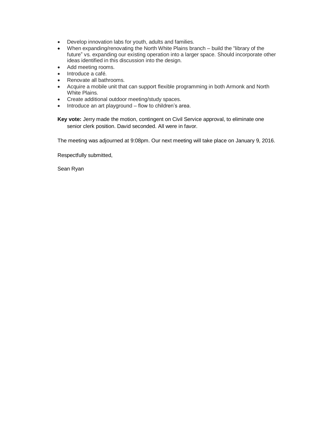- Develop innovation labs for youth, adults and families.
- When expanding/renovating the North White Plains branch build the "library of the future" vs. expanding our existing operation into a larger space. Should incorporate other ideas identified in this discussion into the design.
- Add meeting rooms.
- Introduce a café.
- Renovate all bathrooms.
- Acquire a mobile unit that can support flexible programming in both Armonk and North White Plains.
- Create additional outdoor meeting/study spaces.
- Introduce an art playground flow to children's area.

**Key vote:** Jerry made the motion, contingent on Civil Service approval, to eliminate one senior clerk position. David seconded. All were in favor.

The meeting was adjourned at 9:08pm. Our next meeting will take place on January 9, 2016.

Respectfully submitted,

Sean Ryan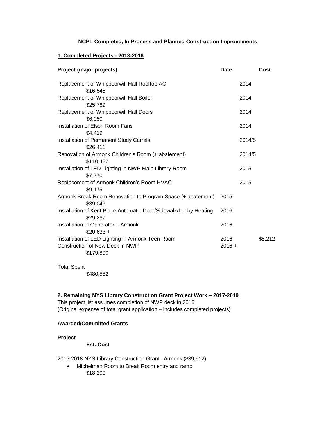## **NCPL Completed, In Process and Planned Construction Improvements**

#### **1. Completed Projects - 2013-2016**

| Project (major projects)                                                     | <b>Date</b> |        | Cost    |
|------------------------------------------------------------------------------|-------------|--------|---------|
| Replacement of Whippoorwill Hall Rooftop AC                                  |             | 2014   |         |
| \$16,545                                                                     |             |        |         |
| Replacement of Whippoorwill Hall Boiler                                      |             | 2014   |         |
| \$25,769                                                                     |             |        |         |
| Replacement of Whippoorwill Hall Doors                                       |             | 2014   |         |
| \$6,050                                                                      |             |        |         |
| Installation of Elson Room Fans                                              |             | 2014   |         |
| \$4,419                                                                      |             |        |         |
| Installation of Permanent Study Carrels                                      |             | 2014/5 |         |
| \$26,411                                                                     |             |        |         |
| Renovation of Armonk Children's Room (+ abatement)                           |             | 2014/5 |         |
| \$110,482                                                                    |             |        |         |
| Installation of LED Lighting in NWP Main Library Room                        |             | 2015   |         |
| \$7,770                                                                      |             |        |         |
| Replacement of Armonk Children's Room HVAC                                   |             | 2015   |         |
| \$9,175                                                                      |             |        |         |
| Armonk Break Room Renovation to Program Space (+ abatement)<br>\$39,049      | 2015        |        |         |
| Installation of Kent Place Automatic Door/Sidewalk/Lobby Heating<br>\$29,267 | 2016        |        |         |
| Installation of Generator - Armonk                                           | 2016        |        |         |
| $$20,633 +$                                                                  |             |        |         |
| Installation of LED Lighting in Armonk Teen Room                             | 2016        |        | \$5,212 |
| Construction of New Deck in NWP                                              | $2016 +$    |        |         |
| \$179,800                                                                    |             |        |         |
|                                                                              |             |        |         |

Total Spent

\$480,582

**2. Remaining NYS Library Construction Grant Project Work – 2017-2019**

This project list assumes completion of NWP deck in 2016. (Original expense of total grant application – includes completed projects)

#### **Awarded/Committed Grants**

#### **Project**

**Est. Cost**

2015-2018 NYS Library Construction Grant –Armonk (\$39,912)

• Michelman Room to Break Room entry and ramp. \$18,200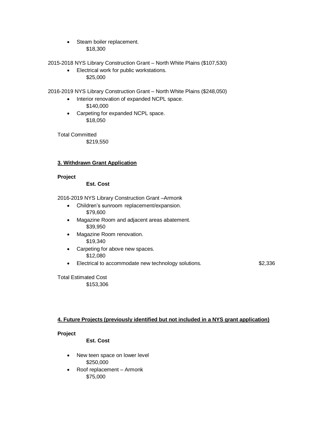• Steam boiler replacement. \$18,300

2015-2018 NYS Library Construction Grant – North White Plains (\$107,530)

• Electrical work for public workstations. \$25,000

2016-2019 NYS Library Construction Grant – North White Plains (\$248,050)

- Interior renovation of expanded NCPL space. \$140,000
- Carpeting for expanded NCPL space. \$18,050

Total Committed \$219,550

# **3. Withdrawn Grant Application**

#### **Project**

#### **Est. Cost**

2016-2019 NYS Library Construction Grant –Armonk

- Children's sunroom replacement/expansion. \$79,600
- Magazine Room and adjacent areas abatement. \$39,950
- Magazine Room renovation. \$19,340
- Carpeting for above new spaces. \$12,080
- Electrical to accommodate new technology solutions. **Example 218** \$2,336

Total Estimated Cost \$153,306

# **4. Future Projects (previously identified but not included in a NYS grant application)**

#### **Project**

**Est. Cost**

- New teen space on lower level \$250,000
- Roof replacement Armonk \$75,000